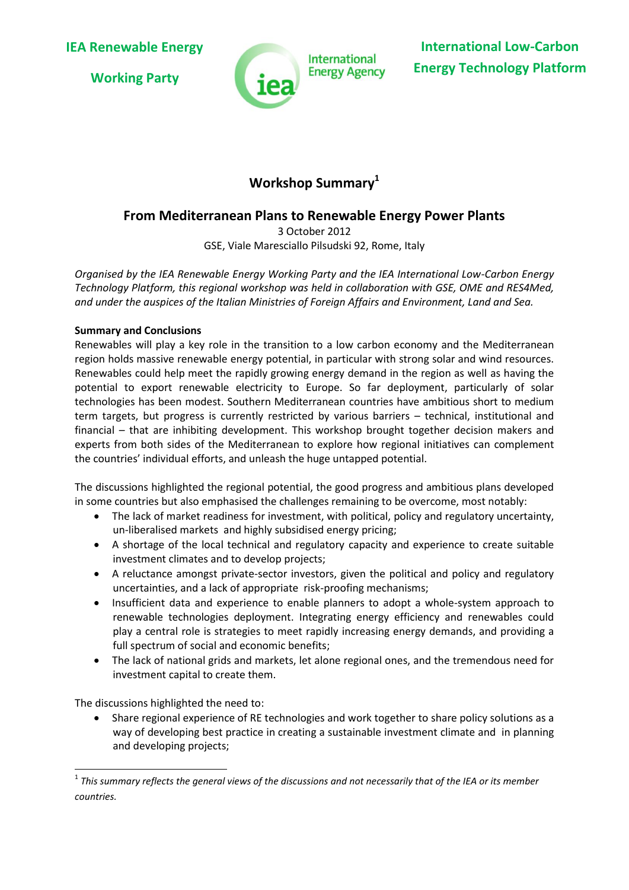**Working Party**



**International Low-Carbon Energy Technology Platform**

# **Workshop Summary<sup>1</sup>**

# **From Mediterranean Plans to Renewable Energy Power Plants**

3 October 2012 GSE, Viale Maresciallo Pilsudski 92, Rome, Italy

*Organised by the IEA Renewable Energy Working Party and the IEA International Low-Carbon Energy Technology Platform, this regional workshop was held in collaboration with GSE, OME and RES4Med, and under the auspices of the Italian Ministries of Foreign Affairs and Environment, Land and Sea.*

## **Summary and Conclusions**

Renewables will play a key role in the transition to a low carbon economy and the Mediterranean region holds massive renewable energy potential, in particular with strong solar and wind resources. Renewables could help meet the rapidly growing energy demand in the region as well as having the potential to export renewable electricity to Europe. So far deployment, particularly of solar technologies has been modest. Southern Mediterranean countries have ambitious short to medium term targets, but progress is currently restricted by various barriers – technical, institutional and financial – that are inhibiting development. This workshop brought together decision makers and experts from both sides of the Mediterranean to explore how regional initiatives can complement the countries' individual efforts, and unleash the huge untapped potential.

The discussions highlighted the regional potential, the good progress and ambitious plans developed in some countries but also emphasised the challenges remaining to be overcome, most notably:

- The lack of market readiness for investment, with political, policy and regulatory uncertainty, un-liberalised markets and highly subsidised energy pricing;
- A shortage of the local technical and regulatory capacity and experience to create suitable investment climates and to develop projects;
- A reluctance amongst private-sector investors, given the political and policy and regulatory uncertainties, and a lack of appropriate risk-proofing mechanisms;
- Insufficient data and experience to enable planners to adopt a whole-system approach to renewable technologies deployment. Integrating energy efficiency and renewables could play a central role is strategies to meet rapidly increasing energy demands, and providing a full spectrum of social and economic benefits;
- The lack of national grids and markets, let alone regional ones, and the tremendous need for investment capital to create them.

The discussions highlighted the need to:

**.** 

 Share regional experience of RE technologies and work together to share policy solutions as a way of developing best practice in creating a sustainable investment climate and in planning and developing projects;

 $^{\rm 1}$  This summary reflects the general views of the discussions and not necessarily that of the IEA or its member *countries.*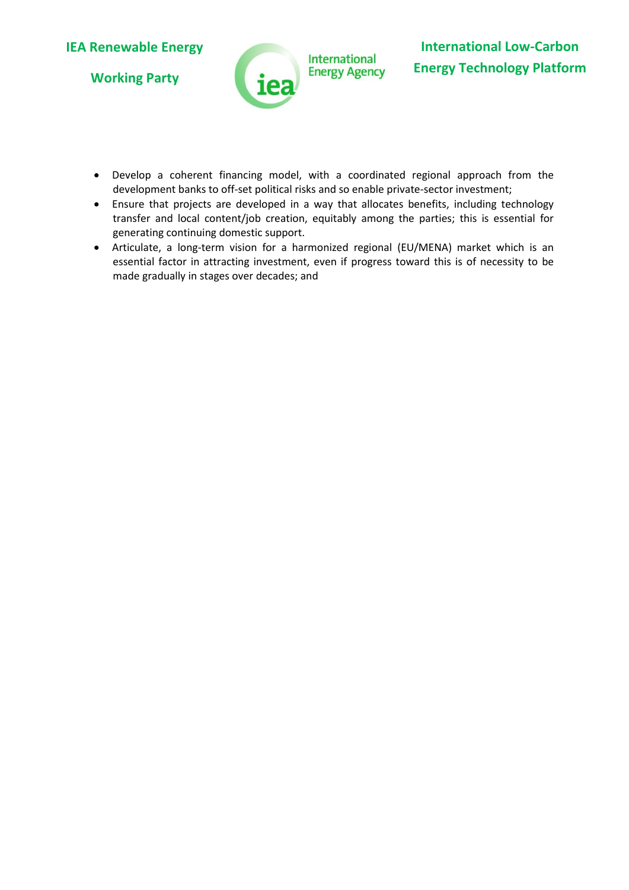**Working Party**



- Develop a coherent financing model, with a coordinated regional approach from the development banks to off-set political risks and so enable private-sector investment;
- Ensure that projects are developed in a way that allocates benefits, including technology transfer and local content/job creation, equitably among the parties; this is essential for generating continuing domestic support.
- Articulate, a long-term vision for a harmonized regional (EU/MENA) market which is an essential factor in attracting investment, even if progress toward this is of necessity to be made gradually in stages over decades; and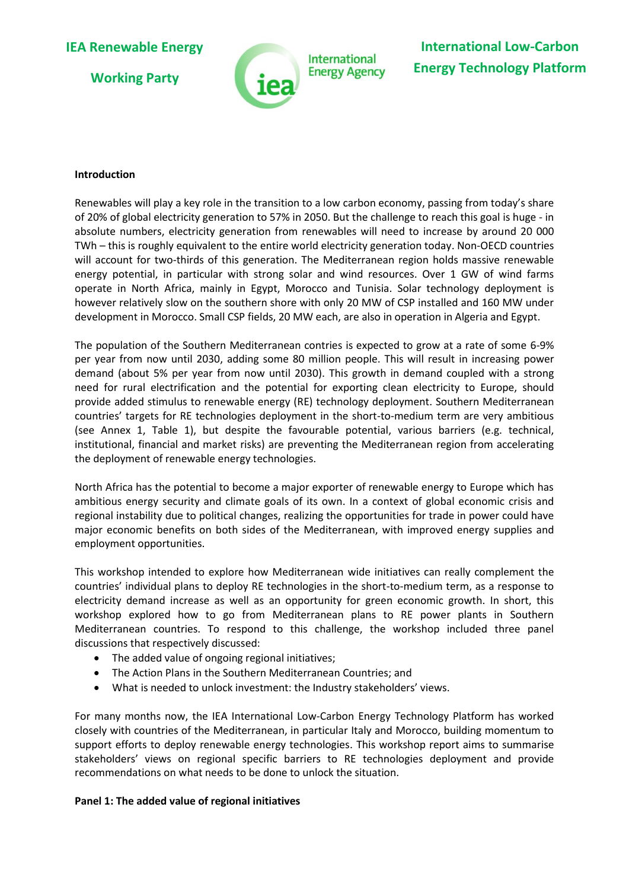**Working Party**



#### **Introduction**

Renewables will play a key role in the transition to a low carbon economy, passing from today's share of 20% of global electricity generation to 57% in 2050. But the challenge to reach this goal is huge - in absolute numbers, electricity generation from renewables will need to increase by around 20 000 TWh – this is roughly equivalent to the entire world electricity generation today. Non-OECD countries will account for two-thirds of this generation. The Mediterranean region holds massive renewable energy potential, in particular with strong solar and wind resources. Over 1 GW of wind farms operate in North Africa, mainly in Egypt, Morocco and Tunisia. Solar technology deployment is however relatively slow on the southern shore with only 20 MW of CSP installed and 160 MW under development in Morocco. Small CSP fields, 20 MW each, are also in operation in Algeria and Egypt.

The population of the Southern Mediterranean contries is expected to grow at a rate of some 6-9% per year from now until 2030, adding some 80 million people. This will result in increasing power demand (about 5% per year from now until 2030). This growth in demand coupled with a strong need for rural electrification and the potential for exporting clean electricity to Europe, should provide added stimulus to renewable energy (RE) technology deployment. Southern Mediterranean countries' targets for RE technologies deployment in the short-to-medium term are very ambitious (see Annex 1, Table 1), but despite the favourable potential, various barriers (e.g. technical, institutional, financial and market risks) are preventing the Mediterranean region from accelerating the deployment of renewable energy technologies.

North Africa has the potential to become a major exporter of renewable energy to Europe which has ambitious energy security and climate goals of its own. In a context of global economic crisis and regional instability due to political changes, realizing the opportunities for trade in power could have major economic benefits on both sides of the Mediterranean, with improved energy supplies and employment opportunities.

This workshop intended to explore how Mediterranean wide initiatives can really complement the countries' individual plans to deploy RE technologies in the short-to-medium term, as a response to electricity demand increase as well as an opportunity for green economic growth. In short, this workshop explored how to go from Mediterranean plans to RE power plants in Southern Mediterranean countries. To respond to this challenge, the workshop included three panel discussions that respectively discussed:

- The added value of ongoing regional initiatives;
- The Action Plans in the Southern Mediterranean Countries; and
- What is needed to unlock investment: the Industry stakeholders' views.

For many months now, the IEA International Low-Carbon Energy Technology Platform has worked closely with countries of the Mediterranean, in particular Italy and Morocco, building momentum to support efforts to deploy renewable energy technologies. This workshop report aims to summarise stakeholders' views on regional specific barriers to RE technologies deployment and provide recommendations on what needs to be done to unlock the situation.

## **Panel 1: The added value of regional initiatives**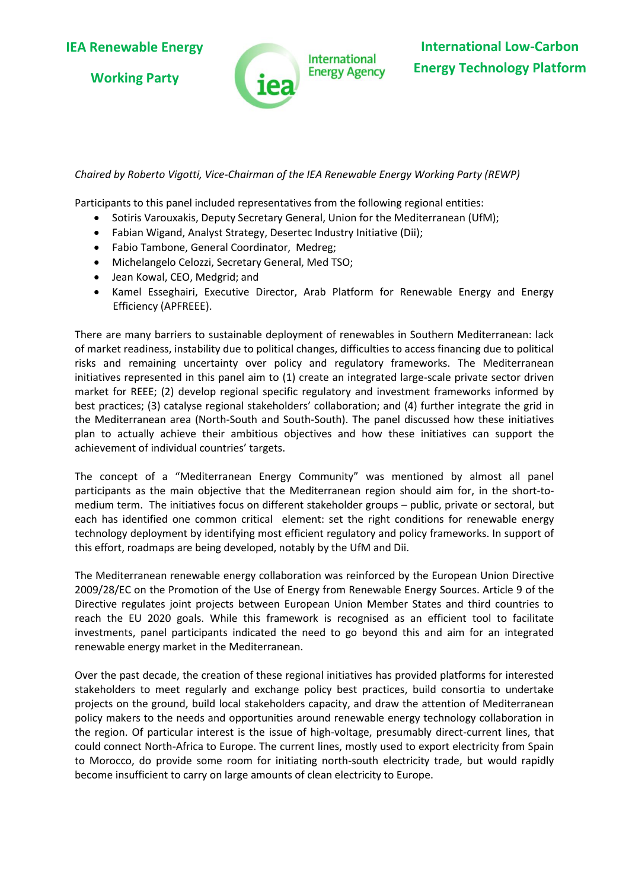**Working Party**



## *Chaired by Roberto Vigotti, Vice-Chairman of the IEA Renewable Energy Working Party (REWP)*

Participants to this panel included representatives from the following regional entities:

- Sotiris Varouxakis, Deputy Secretary General, Union for the Mediterranean (UfM);
- Fabian Wigand, Analyst Strategy, Desertec Industry Initiative (Dii);
- Fabio Tambone, General Coordinator, Medreg;
- Michelangelo Celozzi, Secretary General, Med TSO;
- Jean Kowal, CEO, Medgrid; and
- Kamel Esseghairi, Executive Director, Arab Platform for Renewable Energy and Energy Efficiency (APFREEE).

There are many barriers to sustainable deployment of renewables in Southern Mediterranean: lack of market readiness, instability due to political changes, difficulties to access financing due to political risks and remaining uncertainty over policy and regulatory frameworks. The Mediterranean initiatives represented in this panel aim to (1) create an integrated large-scale private sector driven market for REEE; (2) develop regional specific regulatory and investment frameworks informed by best practices; (3) catalyse regional stakeholders' collaboration; and (4) further integrate the grid in the Mediterranean area (North-South and South-South). The panel discussed how these initiatives plan to actually achieve their ambitious objectives and how these initiatives can support the achievement of individual countries' targets.

The concept of a "Mediterranean Energy Community" was mentioned by almost all panel participants as the main objective that the Mediterranean region should aim for, in the short-tomedium term. The initiatives focus on different stakeholder groups – public, private or sectoral, but each has identified one common critical element: set the right conditions for renewable energy technology deployment by identifying most efficient regulatory and policy frameworks. In support of this effort, roadmaps are being developed, notably by the UfM and Dii.

The Mediterranean renewable energy collaboration was reinforced by the European Union Directive 2009/28/EC on the Promotion of the Use of Energy from Renewable Energy Sources. Article 9 of the Directive regulates joint projects between European Union Member States and third countries to reach the EU 2020 goals. While this framework is recognised as an efficient tool to facilitate investments, panel participants indicated the need to go beyond this and aim for an integrated renewable energy market in the Mediterranean.

Over the past decade, the creation of these regional initiatives has provided platforms for interested stakeholders to meet regularly and exchange policy best practices, build consortia to undertake projects on the ground, build local stakeholders capacity, and draw the attention of Mediterranean policy makers to the needs and opportunities around renewable energy technology collaboration in the region. Of particular interest is the issue of high-voltage, presumably direct-current lines, that could connect North-Africa to Europe. The current lines, mostly used to export electricity from Spain to Morocco, do provide some room for initiating north-south electricity trade, but would rapidly become insufficient to carry on large amounts of clean electricity to Europe.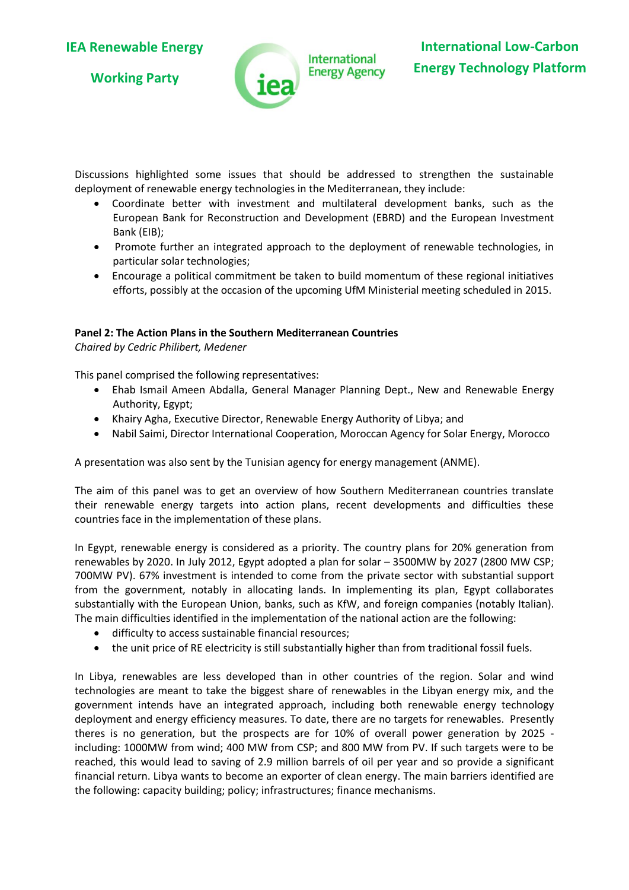**Working Party**



Discussions highlighted some issues that should be addressed to strengthen the sustainable deployment of renewable energy technologies in the Mediterranean, they include:

- Coordinate better with investment and multilateral development banks, such as the European Bank for Reconstruction and Development (EBRD) and the European Investment Bank (EIB);
- Promote further an integrated approach to the deployment of renewable technologies, in particular solar technologies;
- Encourage a political commitment be taken to build momentum of these regional initiatives efforts, possibly at the occasion of the upcoming UfM Ministerial meeting scheduled in 2015.

## **Panel 2: The Action Plans in the Southern Mediterranean Countries**

*Chaired by Cedric Philibert, Medener*

This panel comprised the following representatives:

- Ehab Ismail Ameen Abdalla, General Manager Planning Dept., New and Renewable Energy Authority, Egypt;
- Khairy Agha, Executive Director, Renewable Energy Authority of Libya; and
- Nabil Saimi, Director International Cooperation, Moroccan Agency for Solar Energy, Morocco

A presentation was also sent by the Tunisian agency for energy management (ANME).

The aim of this panel was to get an overview of how Southern Mediterranean countries translate their renewable energy targets into action plans, recent developments and difficulties these countries face in the implementation of these plans.

In Egypt, renewable energy is considered as a priority. The country plans for 20% generation from renewables by 2020. In July 2012, Egypt adopted a plan for solar – 3500MW by 2027 (2800 MW CSP; 700MW PV). 67% investment is intended to come from the private sector with substantial support from the government, notably in allocating lands. In implementing its plan, Egypt collaborates substantially with the European Union, banks, such as KfW, and foreign companies (notably Italian). The main difficulties identified in the implementation of the national action are the following:

- difficulty to access sustainable financial resources;
- the unit price of RE electricity is still substantially higher than from traditional fossil fuels.

In Libya, renewables are less developed than in other countries of the region. Solar and wind technologies are meant to take the biggest share of renewables in the Libyan energy mix, and the government intends have an integrated approach, including both renewable energy technology deployment and energy efficiency measures. To date, there are no targets for renewables. Presently theres is no generation, but the prospects are for 10% of overall power generation by 2025 including: 1000MW from wind; 400 MW from CSP; and 800 MW from PV. If such targets were to be reached, this would lead to saving of 2.9 million barrels of oil per year and so provide a significant financial return. Libya wants to become an exporter of clean energy. The main barriers identified are the following: capacity building; policy; infrastructures; finance mechanisms.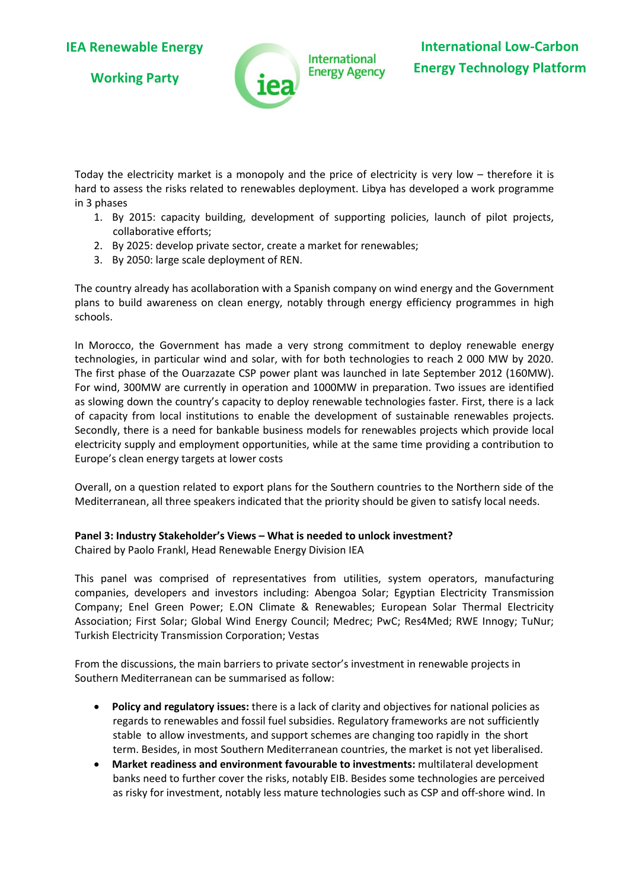**Working Party**



Today the electricity market is a monopoly and the price of electricity is very low – therefore it is hard to assess the risks related to renewables deployment. Libya has developed a work programme in 3 phases

- 1. By 2015: capacity building, development of supporting policies, launch of pilot projects, collaborative efforts;
- 2. By 2025: develop private sector, create a market for renewables;
- 3. By 2050: large scale deployment of REN.

The country already has acollaboration with a Spanish company on wind energy and the Government plans to build awareness on clean energy, notably through energy efficiency programmes in high schools.

In Morocco, the Government has made a very strong commitment to deploy renewable energy technologies, in particular wind and solar, with for both technologies to reach 2 000 MW by 2020. The first phase of the Ouarzazate CSP power plant was launched in late September 2012 (160MW). For wind, 300MW are currently in operation and 1000MW in preparation. Two issues are identified as slowing down the country's capacity to deploy renewable technologies faster. First, there is a lack of capacity from local institutions to enable the development of sustainable renewables projects. Secondly, there is a need for bankable business models for renewables projects which provide local electricity supply and employment opportunities, while at the same time providing a contribution to Europe's clean energy targets at lower costs

Overall, on a question related to export plans for the Southern countries to the Northern side of the Mediterranean, all three speakers indicated that the priority should be given to satisfy local needs.

#### **Panel 3: Industry Stakeholder's Views – What is needed to unlock investment?** Chaired by Paolo Frankl, Head Renewable Energy Division IEA

This panel was comprised of representatives from utilities, system operators, manufacturing companies, developers and investors including: Abengoa Solar; Egyptian Electricity Transmission Company; Enel Green Power; E.ON Climate & Renewables; European Solar Thermal Electricity Association; First Solar; Global Wind Energy Council; Medrec; PwC; Res4Med; RWE Innogy; TuNur; Turkish Electricity Transmission Corporation; Vestas

From the discussions, the main barriers to private sector's investment in renewable projects in Southern Mediterranean can be summarised as follow:

- **Policy and regulatory issues:** there is a lack of clarity and objectives for national policies as regards to renewables and fossil fuel subsidies. Regulatory frameworks are not sufficiently stable to allow investments, and support schemes are changing too rapidly in the short term. Besides, in most Southern Mediterranean countries, the market is not yet liberalised.
- **Market readiness and environment favourable to investments:** multilateral development banks need to further cover the risks, notably EIB. Besides some technologies are perceived as risky for investment, notably less mature technologies such as CSP and off-shore wind. In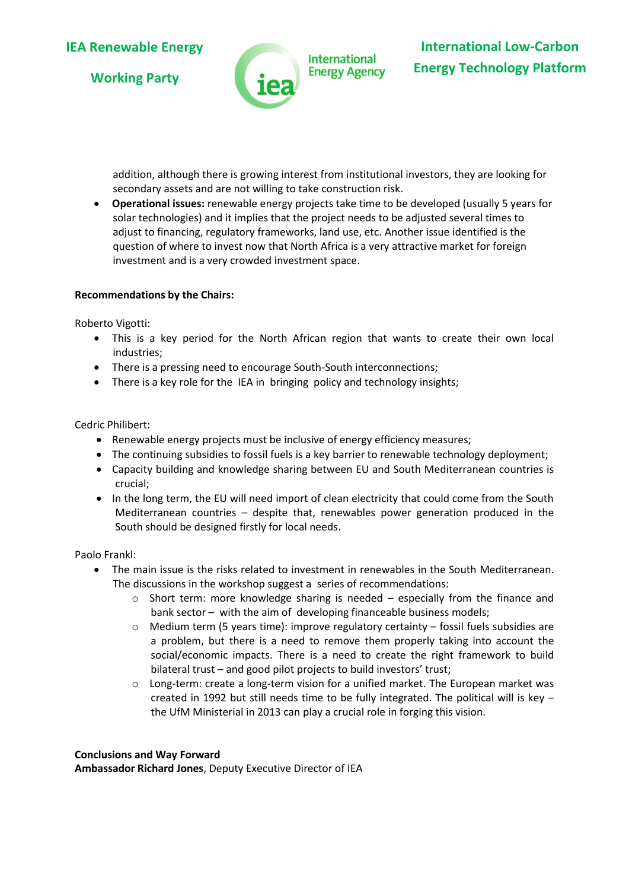**Working Party**



addition, although there is growing interest from institutional investors, they are looking for secondary assets and are not willing to take construction risk.

 **Operational issues:** renewable energy projects take time to be developed (usually 5 years for solar technologies) and it implies that the project needs to be adjusted several times to adjust to financing, regulatory frameworks, land use, etc. Another issue identified is the question of where to invest now that North Africa is a very attractive market for foreign investment and is a very crowded investment space.

#### **Recommendations by the Chairs:**

Roberto Vigotti:

- This is a key period for the North African region that wants to create their own local industries;
- There is a pressing need to encourage South-South interconnections;
- There is a key role for the IEA in bringing policy and technology insights;

Cedric Philibert:

- Renewable energy projects must be inclusive of energy efficiency measures;
- The continuing subsidies to fossil fuels is a key barrier to renewable technology deployment;
- Capacity building and knowledge sharing between EU and South Mediterranean countries is crucial;
- In the long term, the EU will need import of clean electricity that could come from the South Mediterranean countries – despite that, renewables power generation produced in the South should be designed firstly for local needs.

Paolo Frankl:

- The main issue is the risks related to investment in renewables in the South Mediterranean. The discussions in the workshop suggest a series of recommendations:
	- $\circ$  Short term: more knowledge sharing is needed especially from the finance and bank sector – with the aim of developing financeable business models;
	- o Medium term (5 years time): improve regulatory certainty fossil fuels subsidies are a problem, but there is a need to remove them properly taking into account the social/economic impacts. There is a need to create the right framework to build bilateral trust – and good pilot projects to build investors' trust;
	- $\circ$  Long-term: create a long-term vision for a unified market. The European market was created in 1992 but still needs time to be fully integrated. The political will is key – the UfM Ministerial in 2013 can play a crucial role in forging this vision.

#### **Conclusions and Way Forward**

**Ambassador Richard Jones**, Deputy Executive Director of IEA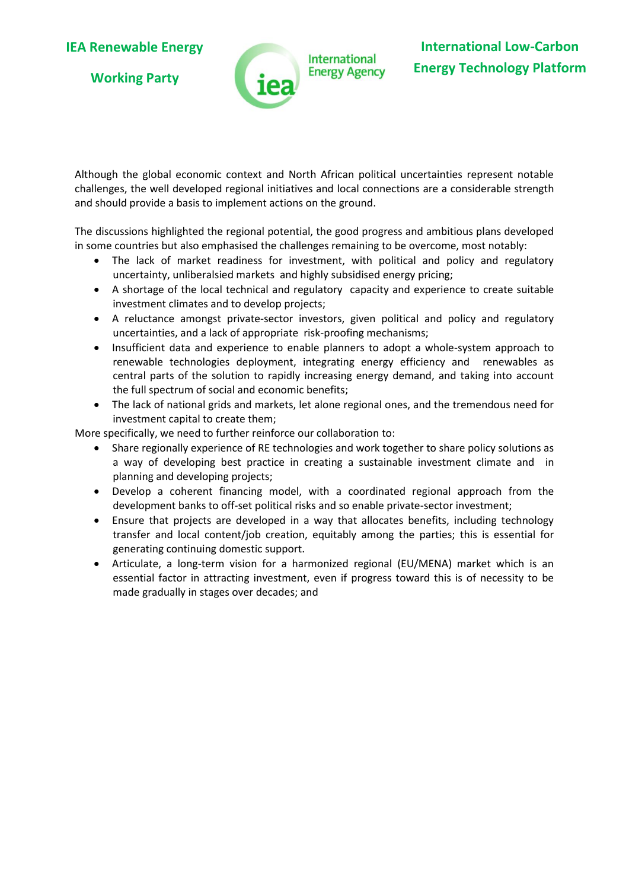**Working Party**



Although the global economic context and North African political uncertainties represent notable challenges, the well developed regional initiatives and local connections are a considerable strength and should provide a basis to implement actions on the ground.

The discussions highlighted the regional potential, the good progress and ambitious plans developed in some countries but also emphasised the challenges remaining to be overcome, most notably:

- The lack of market readiness for investment, with political and policy and regulatory uncertainty, unliberalsied markets and highly subsidised energy pricing;
- A shortage of the local technical and regulatory capacity and experience to create suitable investment climates and to develop projects;
- A reluctance amongst private-sector investors, given political and policy and regulatory uncertainties, and a lack of appropriate risk-proofing mechanisms;
- Insufficient data and experience to enable planners to adopt a whole-system approach to renewable technologies deployment, integrating energy efficiency and renewables as central parts of the solution to rapidly increasing energy demand, and taking into account the full spectrum of social and economic benefits;
- The lack of national grids and markets, let alone regional ones, and the tremendous need for investment capital to create them;

More specifically, we need to further reinforce our collaboration to:

- Share regionally experience of RE technologies and work together to share policy solutions as a way of developing best practice in creating a sustainable investment climate and in planning and developing projects;
- Develop a coherent financing model, with a coordinated regional approach from the development banks to off-set political risks and so enable private-sector investment;
- Ensure that projects are developed in a way that allocates benefits, including technology transfer and local content/job creation, equitably among the parties; this is essential for generating continuing domestic support.
- Articulate, a long-term vision for a harmonized regional (EU/MENA) market which is an essential factor in attracting investment, even if progress toward this is of necessity to be made gradually in stages over decades; and